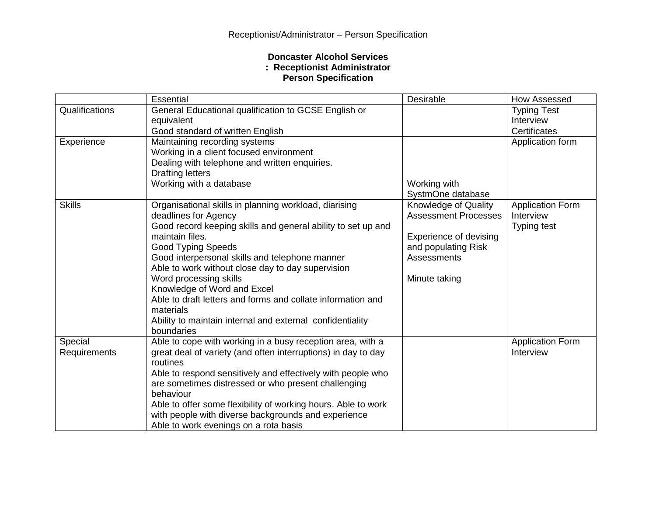## **Doncaster Alcohol Services : Receptionist Administrator Person Specification**

|                | Essential                                                         | Desirable                   | How Assessed              |
|----------------|-------------------------------------------------------------------|-----------------------------|---------------------------|
| Qualifications | General Educational qualification to GCSE English or              |                             | <b>Typing Test</b>        |
|                | equivalent                                                        |                             | Interview<br>Certificates |
| Experience     | Good standard of written English<br>Maintaining recording systems |                             | Application form          |
|                | Working in a client focused environment                           |                             |                           |
|                | Dealing with telephone and written enquiries.                     |                             |                           |
|                | <b>Drafting letters</b>                                           |                             |                           |
|                | Working with a database                                           | Working with                |                           |
|                |                                                                   | SystmOne database           |                           |
| <b>Skills</b>  | Organisational skills in planning workload, diarising             | Knowledge of Quality        | <b>Application Form</b>   |
|                | deadlines for Agency                                              | <b>Assessment Processes</b> | Interview                 |
|                | Good record keeping skills and general ability to set up and      |                             | <b>Typing test</b>        |
|                | maintain files.                                                   | Experience of devising      |                           |
|                | <b>Good Typing Speeds</b>                                         | and populating Risk         |                           |
|                | Good interpersonal skills and telephone manner                    | Assessments                 |                           |
|                | Able to work without close day to day supervision                 |                             |                           |
|                | Word processing skills<br>Knowledge of Word and Excel             | Minute taking               |                           |
|                | Able to draft letters and forms and collate information and       |                             |                           |
|                | materials                                                         |                             |                           |
|                | Ability to maintain internal and external confidentiality         |                             |                           |
|                | boundaries                                                        |                             |                           |
| Special        | Able to cope with working in a busy reception area, with a        |                             | <b>Application Form</b>   |
| Requirements   | great deal of variety (and often interruptions) in day to day     |                             | Interview                 |
|                | routines                                                          |                             |                           |
|                | Able to respond sensitively and effectively with people who       |                             |                           |
|                | are sometimes distressed or who present challenging               |                             |                           |
|                | behaviour                                                         |                             |                           |
|                | Able to offer some flexibility of working hours. Able to work     |                             |                           |
|                | with people with diverse backgrounds and experience               |                             |                           |
|                | Able to work evenings on a rota basis                             |                             |                           |